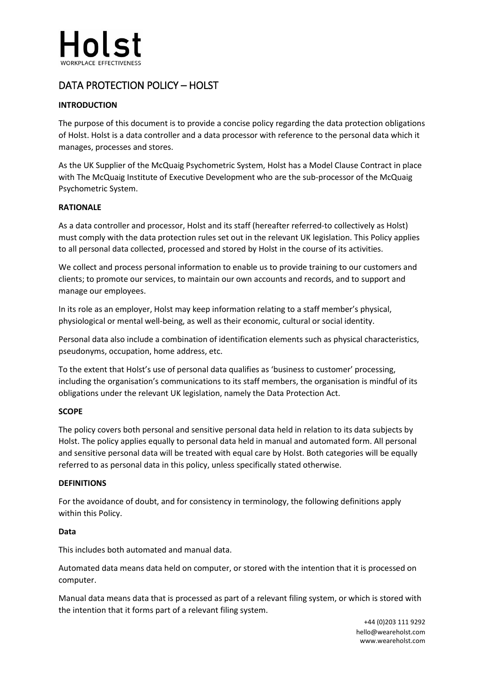

# DATA PROTECTION POLICY – HOLST

# **INTRODUCTION**

The purpose of this document is to provide a concise policy regarding the data protection obligations of Holst. Holst is a data controller and a data processor with reference to the personal data which it manages, processes and stores.

As the UK Supplier of the McQuaig Psychometric System, Holst has a Model Clause Contract in place with The McQuaig Institute of Executive Development who are the sub-processor of the McQuaig Psychometric System.

# **RATIONALE**

As a data controller and processor, Holst and its staff (hereafter referred-to collectively as Holst) must comply with the data protection rules set out in the relevant UK legislation. This Policy applies to all personal data collected, processed and stored by Holst in the course of its activities.

We collect and process personal information to enable us to provide training to our customers and clients; to promote our services, to maintain our own accounts and records, and to support and manage our employees.

In its role as an employer, Holst may keep information relating to a staff member's physical, physiological or mental well-being, as well as their economic, cultural or social identity.

Personal data also include a combination of identification elements such as physical characteristics, pseudonyms, occupation, home address, etc.

To the extent that Holst's use of personal data qualifies as 'business to customer' processing, including the organisation's communications to its staff members, the organisation is mindful of its obligations under the relevant UK legislation, namely the Data Protection Act.

# **SCOPE**

The policy covers both personal and sensitive personal data held in relation to its data subjects by Holst. The policy applies equally to personal data held in manual and automated form. All personal and sensitive personal data will be treated with equal care by Holst. Both categories will be equally referred to as personal data in this policy, unless specifically stated otherwise.

#### **DEFINITIONS**

For the avoidance of doubt, and for consistency in terminology, the following definitions apply within this Policy.

# **Data**

This includes both automated and manual data.

Automated data means data held on computer, or stored with the intention that it is processed on computer.

Manual data means data that is processed as part of a relevant filing system, or which is stored with the intention that it forms part of a relevant filing system.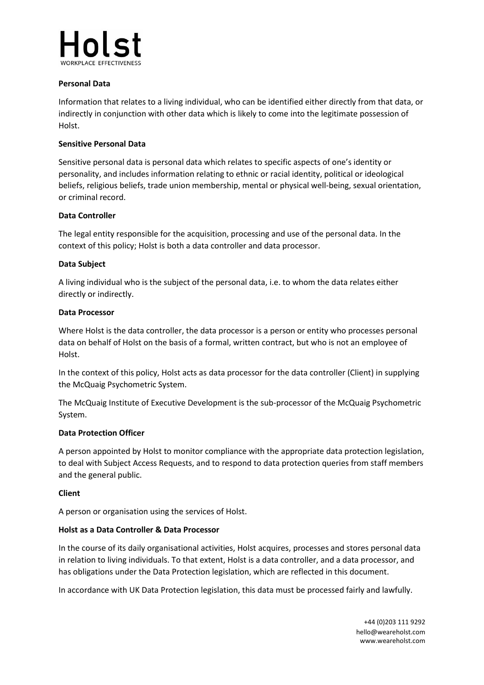

## **Personal Data**

Information that relates to a living individual, who can be identified either directly from that data, or indirectly in conjunction with other data which is likely to come into the legitimate possession of Holst.

## **Sensitive Personal Data**

Sensitive personal data is personal data which relates to specific aspects of one's identity or personality, and includes information relating to ethnic or racial identity, political or ideological beliefs, religious beliefs, trade union membership, mental or physical well-being, sexual orientation, or criminal record.

## **Data Controller**

The legal entity responsible for the acquisition, processing and use of the personal data. In the context of this policy; Holst is both a data controller and data processor.

## **Data Subject**

A living individual who is the subject of the personal data, i.e. to whom the data relates either directly or indirectly.

#### **Data Processor**

Where Holst is the data controller, the data processor is a person or entity who processes personal data on behalf of Holst on the basis of a formal, written contract, but who is not an employee of Holst.

In the context of this policy, Holst acts as data processor for the data controller (Client) in supplying the McQuaig Psychometric System.

The McQuaig Institute of Executive Development is the sub-processor of the McQuaig Psychometric System.

#### **Data Protection Officer**

A person appointed by Holst to monitor compliance with the appropriate data protection legislation, to deal with Subject Access Requests, and to respond to data protection queries from staff members and the general public.

#### **Client**

A person or organisation using the services of Holst.

#### **Holst as a Data Controller & Data Processor**

In the course of its daily organisational activities, Holst acquires, processes and stores personal data in relation to living individuals. To that extent, Holst is a data controller, and a data processor, and has obligations under the Data Protection legislation, which are reflected in this document.

In accordance with UK Data Protection legislation, this data must be processed fairly and lawfully.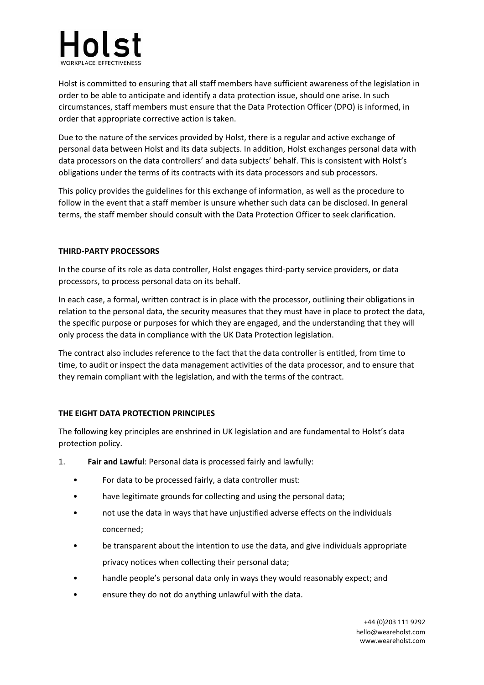

Holst is committed to ensuring that all staff members have sufficient awareness of the legislation in order to be able to anticipate and identify a data protection issue, should one arise. In such circumstances, staff members must ensure that the Data Protection Officer (DPO) is informed, in order that appropriate corrective action is taken.

Due to the nature of the services provided by Holst, there is a regular and active exchange of personal data between Holst and its data subjects. In addition, Holst exchanges personal data with data processors on the data controllers' and data subjects' behalf. This is consistent with Holst's obligations under the terms of its contracts with its data processors and sub processors.

This policy provides the guidelines for this exchange of information, as well as the procedure to follow in the event that a staff member is unsure whether such data can be disclosed. In general terms, the staff member should consult with the Data Protection Officer to seek clarification.

## **THIRD-PARTY PROCESSORS**

In the course of its role as data controller, Holst engages third-party service providers, or data processors, to process personal data on its behalf.

In each case, a formal, written contract is in place with the processor, outlining their obligations in relation to the personal data, the security measures that they must have in place to protect the data, the specific purpose or purposes for which they are engaged, and the understanding that they will only process the data in compliance with the UK Data Protection legislation.

The contract also includes reference to the fact that the data controller is entitled, from time to time, to audit or inspect the data management activities of the data processor, and to ensure that they remain compliant with the legislation, and with the terms of the contract.

# **THE EIGHT DATA PROTECTION PRINCIPLES**

The following key principles are enshrined in UK legislation and are fundamental to Holst's data protection policy.

- 1. **Fair and Lawful**: Personal data is processed fairly and lawfully:
	- For data to be processed fairly, a data controller must:
	- have legitimate grounds for collecting and using the personal data;
	- not use the data in ways that have unjustified adverse effects on the individuals concerned;
	- be transparent about the intention to use the data, and give individuals appropriate privacy notices when collecting their personal data;
	- handle people's personal data only in ways they would reasonably expect; and
	- ensure they do not do anything unlawful with the data.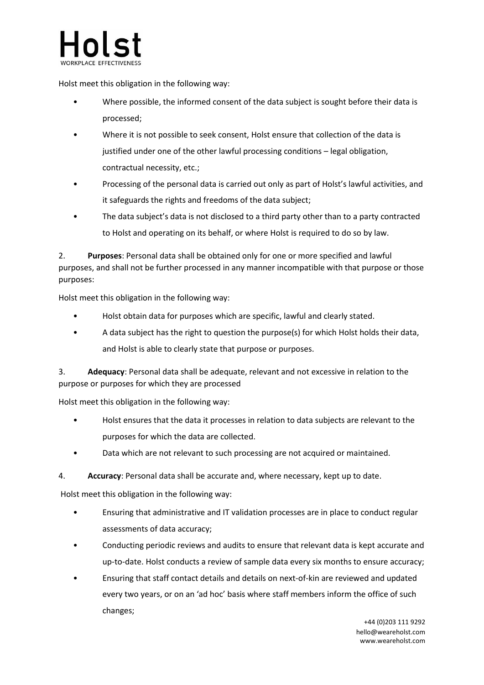

Holst meet this obligation in the following way:

- Where possible, the informed consent of the data subject is sought before their data is processed;
- Where it is not possible to seek consent, Holst ensure that collection of the data is justified under one of the other lawful processing conditions – legal obligation, contractual necessity, etc.;
- Processing of the personal data is carried out only as part of Holst's lawful activities, and it safeguards the rights and freedoms of the data subject;
- The data subject's data is not disclosed to a third party other than to a party contracted to Holst and operating on its behalf, or where Holst is required to do so by law.

2. **Purposes**: Personal data shall be obtained only for one or more specified and lawful purposes, and shall not be further processed in any manner incompatible with that purpose or those purposes:

Holst meet this obligation in the following way:

- Holst obtain data for purposes which are specific, lawful and clearly stated.
- A data subject has the right to question the purpose(s) for which Holst holds their data, and Holst is able to clearly state that purpose or purposes.

3. **Adequacy**: Personal data shall be adequate, relevant and not excessive in relation to the purpose or purposes for which they are processed

Holst meet this obligation in the following way:

- Holst ensures that the data it processes in relation to data subjects are relevant to the purposes for which the data are collected.
- Data which are not relevant to such processing are not acquired or maintained.
- 4. **Accuracy**: Personal data shall be accurate and, where necessary, kept up to date.

Holst meet this obligation in the following way:

- Ensuring that administrative and IT validation processes are in place to conduct regular assessments of data accuracy;
- Conducting periodic reviews and audits to ensure that relevant data is kept accurate and up-to-date. Holst conducts a review of sample data every six months to ensure accuracy;
- Ensuring that staff contact details and details on next-of-kin are reviewed and updated every two years, or on an 'ad hoc' basis where staff members inform the office of such changes;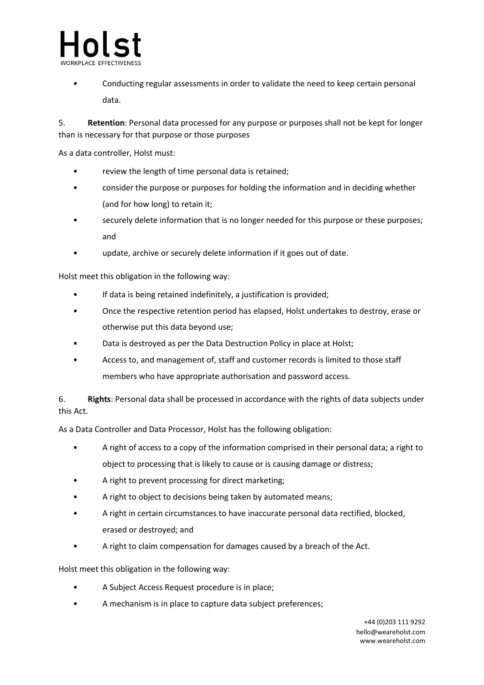

• Conducting regular assessments in order to validate the need to keep certain personal data.

5. **Retention**: Personal data processed for any purpose or purposes shall not be kept for longer than is necessary for that purpose or those purposes

As a data controller, Holst must:

- review the length of time personal data is retained;
- consider the purpose or purposes for holding the information and in deciding whether (and for how long) to retain it;
- securely delete information that is no longer needed for this purpose or these purposes; and
- update, archive or securely delete information if it goes out of date.

Holst meet this obligation in the following way:

- If data is being retained indefinitely, a justification is provided;
- Once the respective retention period has elapsed, Holst undertakes to destroy, erase or otherwise put this data beyond use;
- Data is destroyed as per the Data Destruction Policy in place at Holst;
- Access to, and management of, staff and customer records is limited to those staff members who have appropriate authorisation and password access.

6. **Rights**: Personal data shall be processed in accordance with the rights of data subjects under this Act.

As a Data Controller and Data Processor, Holst has the following obligation:

- A right of access to a copy of the information comprised in their personal data; a right to object to processing that is likely to cause or is causing damage or distress;
- A right to prevent processing for direct marketing;
- A right to object to decisions being taken by automated means;
- A right in certain circumstances to have inaccurate personal data rectified, blocked, erased or destroyed; and
- A right to claim compensation for damages caused by a breach of the Act.

Holst meet this obligation in the following way:

- A Subject Access Request procedure is in place;
- A mechanism is in place to capture data subject preferences;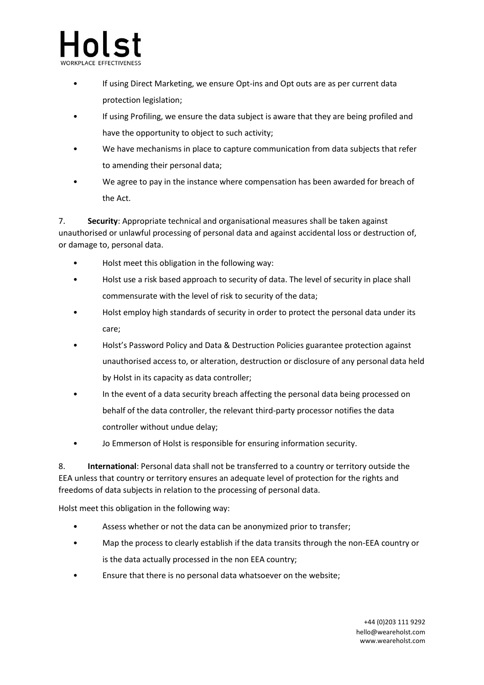- nls
	- If using Direct Marketing, we ensure Opt-ins and Opt outs are as per current data protection legislation;
	- If using Profiling, we ensure the data subject is aware that they are being profiled and have the opportunity to object to such activity;
	- We have mechanisms in place to capture communication from data subjects that refer to amending their personal data;
	- We agree to pay in the instance where compensation has been awarded for breach of the Act.

7. **Security**: Appropriate technical and organisational measures shall be taken against unauthorised or unlawful processing of personal data and against accidental loss or destruction of, or damage to, personal data.

- Holst meet this obligation in the following way:
- Holst use a risk based approach to security of data. The level of security in place shall commensurate with the level of risk to security of the data;
- Holst employ high standards of security in order to protect the personal data under its care;
- Holst's Password Policy and Data & Destruction Policies guarantee protection against unauthorised access to, or alteration, destruction or disclosure of any personal data held by Holst in its capacity as data controller;
- In the event of a data security breach affecting the personal data being processed on behalf of the data controller, the relevant third-party processor notifies the data controller without undue delay;
- Jo Emmerson of Holst is responsible for ensuring information security.

8. **International**: Personal data shall not be transferred to a country or territory outside the EEA unless that country or territory ensures an adequate level of protection for the rights and freedoms of data subjects in relation to the processing of personal data.

Holst meet this obligation in the following way:

- Assess whether or not the data can be anonymized prior to transfer;
- Map the process to clearly establish if the data transits through the non-EEA country or is the data actually processed in the non EEA country;
- Ensure that there is no personal data whatsoever on the website;